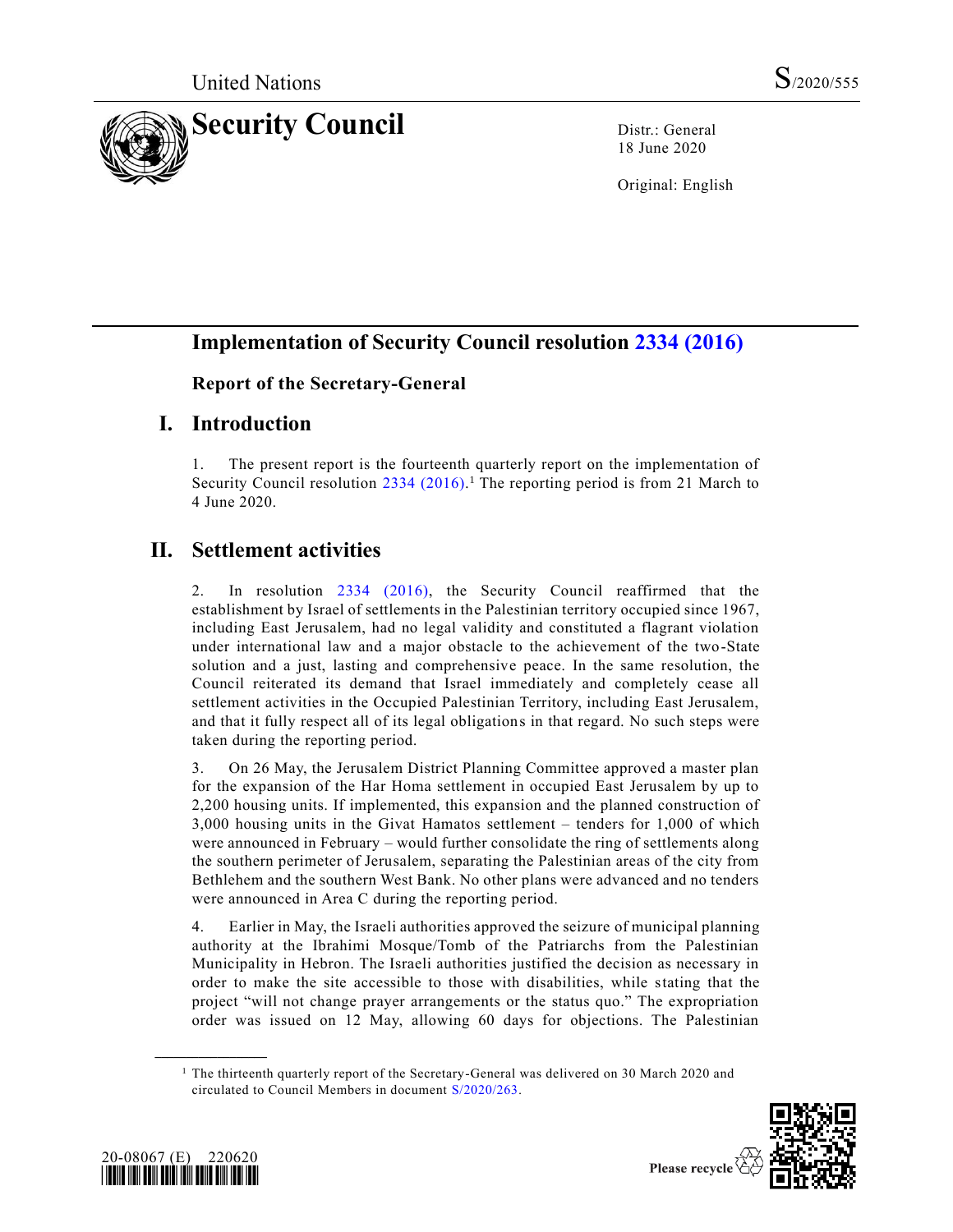

18 June 2020

Original: English

# **Implementation of Security Council resolution [2334 \(2016\)](https://undocs.org/en/S/RES/2334(2016))**

#### **Report of the Secretary-General**

## **I. Introduction**

1. The present report is the fourteenth quarterly report on the implementation of Security Council resolution [2334 \(2016\).](https://undocs.org/en/S/RES/2334(2016))<sup>1</sup> The reporting period is from 21 March to 4 June 2020.

# **II. Settlement activities**

2. In resolution [2334 \(2016\),](https://undocs.org/en/S/RES/2334(2016)) the Security Council reaffirmed that the establishment by Israel of settlements in the Palestinian territory occupied since 1967, including East Jerusalem, had no legal validity and constituted a flagrant violation under international law and a major obstacle to the achievement of the two-State solution and a just, lasting and comprehensive peace. In the same resolution, the Council reiterated its demand that Israel immediately and completely cease all settlement activities in the Occupied Palestinian Territory, including East Jerusalem, and that it fully respect all of its legal obligations in that regard. No such steps were taken during the reporting period.

3. On 26 May, the Jerusalem District Planning Committee approved a master plan for the expansion of the Har Homa settlement in occupied East Jerusalem by up to 2,200 housing units. If implemented, this expansion and the planned construction of 3,000 housing units in the Givat Hamatos settlement – tenders for 1,000 of which were announced in February – would further consolidate the ring of settlements along the southern perimeter of Jerusalem, separating the Palestinian areas of the city from Bethlehem and the southern West Bank. No other plans were advanced and no tenders were announced in Area C during the reporting period.

4. Earlier in May, the Israeli authorities approved the seizure of municipal planning authority at the Ibrahimi Mosque/Tomb of the Patriarchs from the Palestinian Municipality in Hebron. The Israeli authorities justified the decision as necessary in order to make the site accessible to those with disabilities, while stating that the project "will not change prayer arrangements or the status quo." The expropriation order was issued on 12 May, allowing 60 days for objections. The Palestinian

<sup>&</sup>lt;sup>1</sup> The thirteenth quarterly report of the Secretary-General was delivered on 30 March 2020 and circulated to Council Members in document [S/2020/263.](https://undocs.org/en/S/2020/263)





**\_\_\_\_\_\_\_\_\_\_\_\_\_\_\_\_\_\_**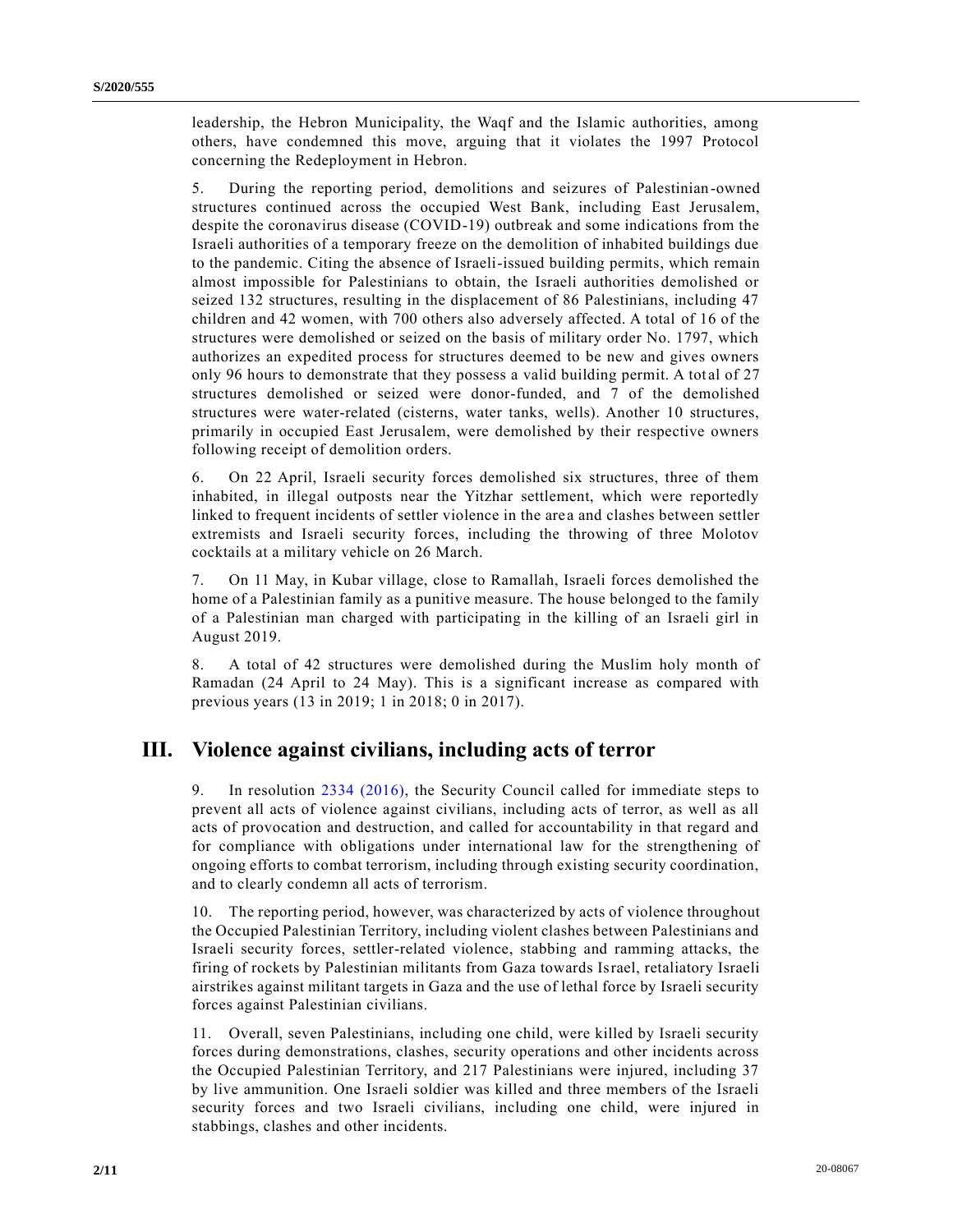leadership, the Hebron Municipality, the Waqf and the Islamic authorities, among others, have condemned this move, arguing that it violates the 1997 Protocol concerning the Redeployment in Hebron.

5. During the reporting period, demolitions and seizures of Palestinian-owned structures continued across the occupied West Bank, including East Jerusalem, despite the coronavirus disease (COVID-19) outbreak and some indications from the Israeli authorities of a temporary freeze on the demolition of inhabited buildings due to the pandemic. Citing the absence of Israeli-issued building permits, which remain almost impossible for Palestinians to obtain, the Israeli authorities demolished or seized 132 structures, resulting in the displacement of 86 Palestinians, including 47 children and 42 women, with 700 others also adversely affected. A total of 16 of the structures were demolished or seized on the basis of military order No. 1797, which authorizes an expedited process for structures deemed to be new and gives owners only 96 hours to demonstrate that they possess a valid building permit. A total of 27 structures demolished or seized were donor-funded, and 7 of the demolished structures were water-related (cisterns, water tanks, wells). Another 10 structures, primarily in occupied East Jerusalem, were demolished by their respective owners following receipt of demolition orders.

6. On 22 April, Israeli security forces demolished six structures, three of them inhabited, in illegal outposts near the Yitzhar settlement, which were reportedly linked to frequent incidents of settler violence in the area and clashes between settler extremists and Israeli security forces, including the throwing of three Molotov cocktails at a military vehicle on 26 March.

7. On 11 May, in Kubar village, close to Ramallah, Israeli forces demolished the home of a Palestinian family as a punitive measure. The house belonged to the family of a Palestinian man charged with participating in the killing of an Israeli girl in August 2019.

8. A total of 42 structures were demolished during the Muslim holy month of Ramadan (24 April to 24 May). This is a significant increase as compared with previous years (13 in 2019; 1 in 2018; 0 in 2017).

#### **III. Violence against civilians, including acts of terror**

9. In resolution 2334 [\(2016\),](https://undocs.org/en/S/RES/2334(2016)) the Security Council called for immediate steps to prevent all acts of violence against civilians, including acts of terror, as well as all acts of provocation and destruction, and called for accountability in that regard and for compliance with obligations under international law for the strengthening of ongoing efforts to combat terrorism, including through existing security coordination, and to clearly condemn all acts of terrorism.

10. The reporting period, however, was characterized by acts of violence throughout the Occupied Palestinian Territory, including violent clashes between Palestinians and Israeli security forces, settler-related violence, stabbing and ramming attacks, the firing of rockets by Palestinian militants from Gaza towards Israel, retaliatory Israeli airstrikes against militant targets in Gaza and the use of lethal force by Israeli security forces against Palestinian civilians.

11. Overall, seven Palestinians, including one child, were killed by Israeli security forces during demonstrations, clashes, security operations and other incidents across the Occupied Palestinian Territory, and 217 Palestinians were injured, including 37 by live ammunition. One Israeli soldier was killed and three members of the Israeli security forces and two Israeli civilians, including one child, were injured in stabbings, clashes and other incidents.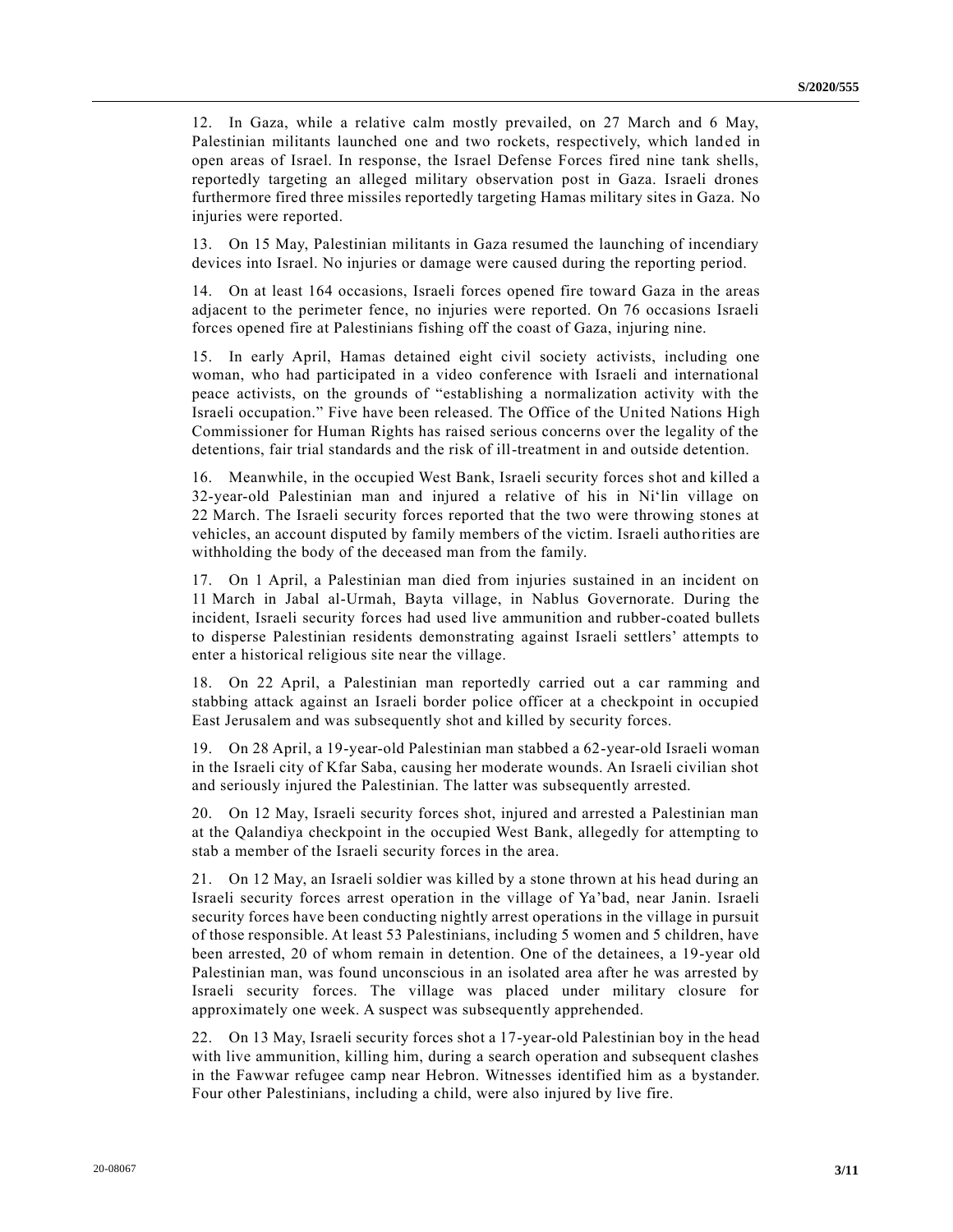12. In Gaza, while a relative calm mostly prevailed, on 27 March and 6 May, Palestinian militants launched one and two rockets, respectively, which land ed in open areas of Israel. In response, the Israel Defense Forces fired nine tank shells, reportedly targeting an alleged military observation post in Gaza. Israeli drones furthermore fired three missiles reportedly targeting Hamas military sites in Gaza. No injuries were reported.

13. On 15 May, Palestinian militants in Gaza resumed the launching of incendiary devices into Israel. No injuries or damage were caused during the reporting period.

14. On at least 164 occasions, Israeli forces opened fire toward Gaza in the areas adjacent to the perimeter fence, no injuries were reported. On 76 occasions Israeli forces opened fire at Palestinians fishing off the coast of Gaza, injuring nine.

15. In early April, Hamas detained eight civil society activists, including one woman, who had participated in a video conference with Israeli and international peace activists, on the grounds of "establishing a normalization activity with the Israeli occupation." Five have been released. The Office of the United Nations High Commissioner for Human Rights has raised serious concerns over the legality of the detentions, fair trial standards and the risk of ill-treatment in and outside detention.

16. Meanwhile, in the occupied West Bank, Israeli security forces shot and killed a 32-year-old Palestinian man and injured a relative of his in Ni'lin village on 22 March. The Israeli security forces reported that the two were throwing stones at vehicles, an account disputed by family members of the victim. Israeli autho rities are withholding the body of the deceased man from the family.

17. On 1 April, a Palestinian man died from injuries sustained in an incident on 11 March in Jabal al-Urmah, Bayta village, in Nablus Governorate. During the incident, Israeli security forces had used live ammunition and rubber-coated bullets to disperse Palestinian residents demonstrating against Israeli settlers' attempts to enter a historical religious site near the village.

18. On 22 April, a Palestinian man reportedly carried out a car ramming and stabbing attack against an Israeli border police officer at a checkpoint in occupied East Jerusalem and was subsequently shot and killed by security forces.

19. On 28 April, a 19-year-old Palestinian man stabbed a 62-year-old Israeli woman in the Israeli city of Kfar Saba, causing her moderate wounds. An Israeli civilian shot and seriously injured the Palestinian. The latter was subsequently arrested.

20. On 12 May, Israeli security forces shot, injured and arrested a Palestinian man at the Qalandiya checkpoint in the occupied West Bank, allegedly for attempting to stab a member of the Israeli security forces in the area.

21. On 12 May, an Israeli soldier was killed by a stone thrown at his head during an Israeli security forces arrest operation in the village of Ya'bad, near Janin. Israeli security forces have been conducting nightly arrest operations in the village in pursuit of those responsible. At least 53 Palestinians, including 5 women and 5 children, have been arrested, 20 of whom remain in detention. One of the detainees, a 19-year old Palestinian man, was found unconscious in an isolated area after he was arrested by Israeli security forces. The village was placed under military closure for approximately one week. A suspect was subsequently apprehended.

22. On 13 May, Israeli security forces shot a 17-year-old Palestinian boy in the head with live ammunition, killing him, during a search operation and subsequent clashes in the Fawwar refugee camp near Hebron. Witnesses identified him as a bystander. Four other Palestinians, including a child, were also injured by live fire.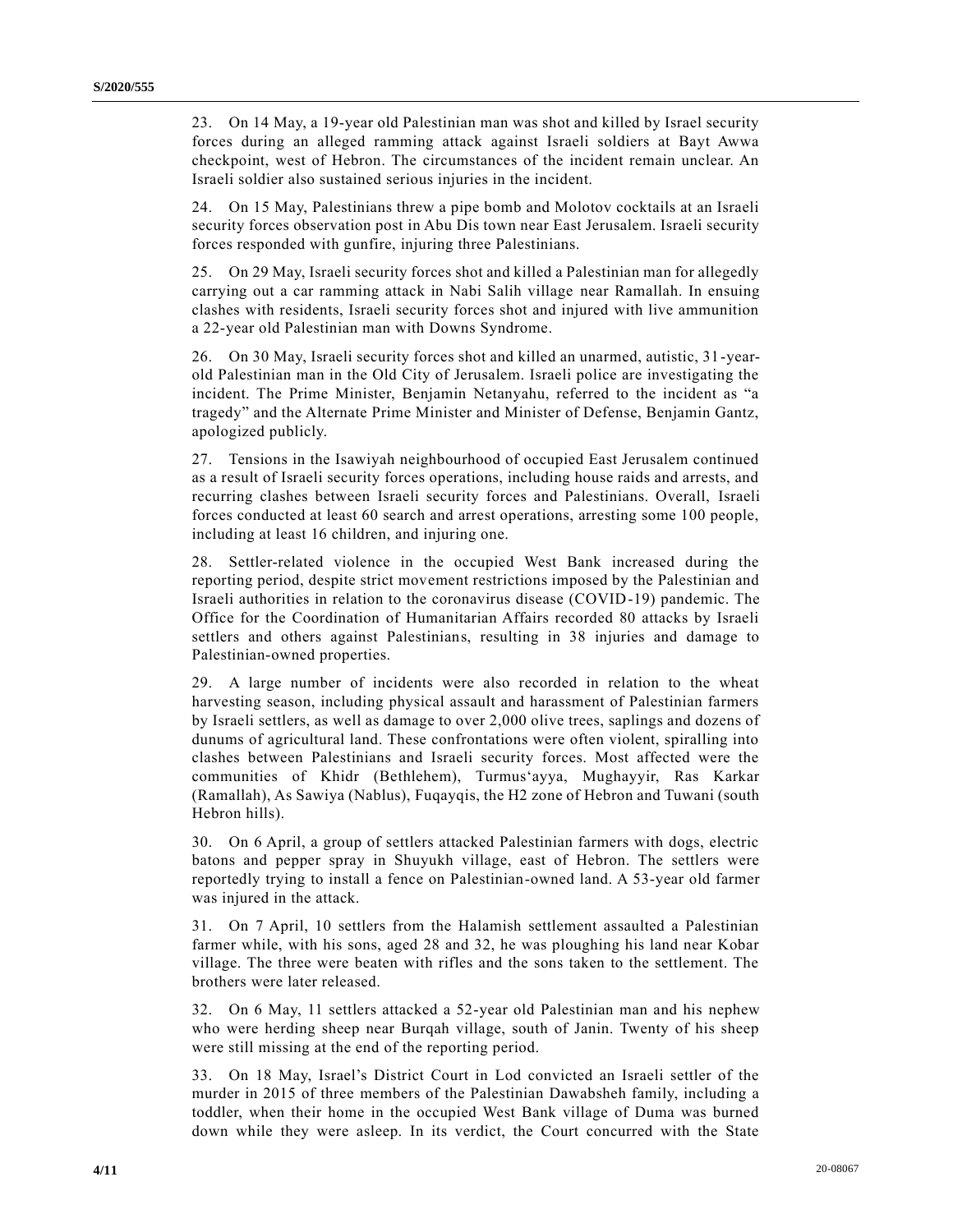23. On 14 May, a 19-year old Palestinian man was shot and killed by Israel security forces during an alleged ramming attack against Israeli soldiers at Bayt Awwa checkpoint, west of Hebron. The circumstances of the incident remain unclear. An Israeli soldier also sustained serious injuries in the incident.

24. On 15 May, Palestinians threw a pipe bomb and Molotov cocktails at an Israeli security forces observation post in Abu Dis town near East Jerusalem. Israeli security forces responded with gunfire, injuring three Palestinians.

25. On 29 May, Israeli security forces shot and killed a Palestinian man for allegedly carrying out a car ramming attack in Nabi Salih village near Ramallah. In ensuing clashes with residents, Israeli security forces shot and injured with live ammunition a 22-year old Palestinian man with Downs Syndrome.

26. On 30 May, Israeli security forces shot and killed an unarmed, autistic, 31-yearold Palestinian man in the Old City of Jerusalem. Israeli police are investigating the incident. The Prime Minister, Benjamin Netanyahu, referred to the incident as "a tragedy" and the Alternate Prime Minister and Minister of Defense, Benjamin Gantz, apologized publicly.

27. Tensions in the Isawiyah neighbourhood of occupied East Jerusalem continued as a result of Israeli security forces operations, including house raids and arrests, and recurring clashes between Israeli security forces and Palestinians. Overall, Israeli forces conducted at least 60 search and arrest operations, arresting some 100 people, including at least 16 children, and injuring one.

28. Settler-related violence in the occupied West Bank increased during the reporting period, despite strict movement restrictions imposed by the Palestinian and Israeli authorities in relation to the coronavirus disease (COVID-19) pandemic. The Office for the Coordination of Humanitarian Affairs recorded 80 attacks by Israeli settlers and others against Palestinians, resulting in 38 injuries and damage to Palestinian-owned properties.

29. A large number of incidents were also recorded in relation to the wheat harvesting season, including physical assault and harassment of Palestinian farmers by Israeli settlers, as well as damage to over 2,000 olive trees, saplings and dozens of dunums of agricultural land. These confrontations were often violent, spiralling into clashes between Palestinians and Israeli security forces. Most affected were the communities of Khidr (Bethlehem), Turmus'ayya, Mughayyir, Ras Karkar (Ramallah), As Sawiya (Nablus), Fuqayqis, the H2 zone of Hebron and Tuwani (south Hebron hills).

30. On 6 April, a group of settlers attacked Palestinian farmers with dogs, electric batons and pepper spray in Shuyukh village, east of Hebron. The settlers were reportedly trying to install a fence on Palestinian-owned land. A 53-year old farmer was injured in the attack.

31. On 7 April, 10 settlers from the Halamish settlement assaulted a Palestinian farmer while, with his sons, aged 28 and 32, he was ploughing his land near Kobar village. The three were beaten with rifles and the sons taken to the settlement. The brothers were later released.

32. On 6 May, 11 settlers attacked a 52-year old Palestinian man and his nephew who were herding sheep near Burqah village, south of Janin. Twenty of his sheep were still missing at the end of the reporting period.

33. On 18 May, Israel's District Court in Lod convicted an Israeli settler of the murder in 2015 of three members of the Palestinian Dawabsheh family, including a toddler, when their home in the occupied West Bank village of Duma was burned down while they were asleep. In its verdict, the Court concurred with the State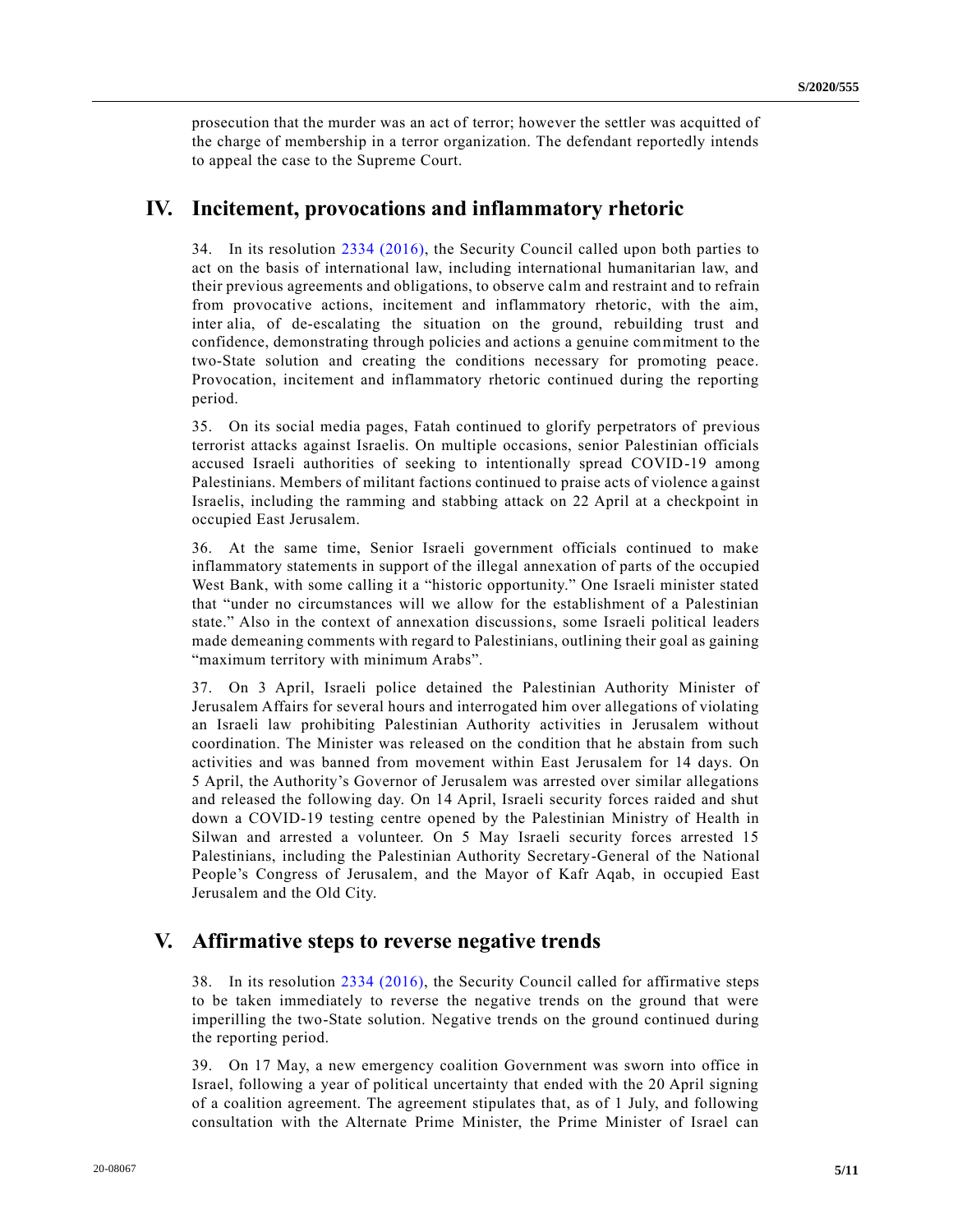prosecution that the murder was an act of terror; however the settler was acquitted of the charge of membership in a terror organization. The defendant reportedly intends to appeal the case to the Supreme Court.

#### **IV. Incitement, provocations and inflammatory rhetoric**

34. In its resolution [2334 \(2016\),](https://undocs.org/en/S/RES/2334(2016)) the Security Council called upon both parties to act on the basis of international law, including international humanitarian law, and their previous agreements and obligations, to observe calm and restraint and to refrain from provocative actions, incitement and inflammatory rhetoric, with the aim, inter alia, of de-escalating the situation on the ground, rebuilding trust and confidence, demonstrating through policies and actions a genuine commitment to the two-State solution and creating the conditions necessary for promoting peace. Provocation, incitement and inflammatory rhetoric continued during the reporting period.

35. On its social media pages, Fatah continued to glorify perpetrators of previous terrorist attacks against Israelis. On multiple occasions, senior Palestinian officials accused Israeli authorities of seeking to intentionally spread COVID-19 among Palestinians. Members of militant factions continued to praise acts of violence against Israelis, including the ramming and stabbing attack on 22 April at a checkpoint in occupied East Jerusalem.

36. At the same time, Senior Israeli government officials continued to make inflammatory statements in support of the illegal annexation of parts of the occupied West Bank, with some calling it a "historic opportunity." One Israeli minister stated that "under no circumstances will we allow for the establishment of a Palestinian state." Also in the context of annexation discussions, some Israeli political leaders made demeaning comments with regard to Palestinians, outlining their goal as gaining "maximum territory with minimum Arabs".

37. On 3 April, Israeli police detained the Palestinian Authority Minister of Jerusalem Affairs for several hours and interrogated him over allegations of violating an Israeli law prohibiting Palestinian Authority activities in Jerusalem without coordination. The Minister was released on the condition that he abstain from such activities and was banned from movement within East Jerusalem for 14 days. On 5 April, the Authority's Governor of Jerusalem was arrested over similar allegations and released the following day. On 14 April, Israeli security forces raided and shut down a COVID-19 testing centre opened by the Palestinian Ministry of Health in Silwan and arrested a volunteer. On 5 May Israeli security forces arrested 15 Palestinians, including the Palestinian Authority Secretary-General of the National People's Congress of Jerusalem, and the Mayor of Kafr Aqab, in occupied East Jerusalem and the Old City.

### **V. Affirmative steps to reverse negative trends**

38. In its resolution [2334 \(2016\),](https://undocs.org/en/S/RES/2334(2016)) the Security Council called for affirmative steps to be taken immediately to reverse the negative trends on the ground that were imperilling the two-State solution. Negative trends on the ground continued during the reporting period.

39. On 17 May, a new emergency coalition Government was sworn into office in Israel, following a year of political uncertainty that ended with the 20 April signing of a coalition agreement. The agreement stipulates that, as of 1 July, and following consultation with the Alternate Prime Minister, the Prime Minister of Israel can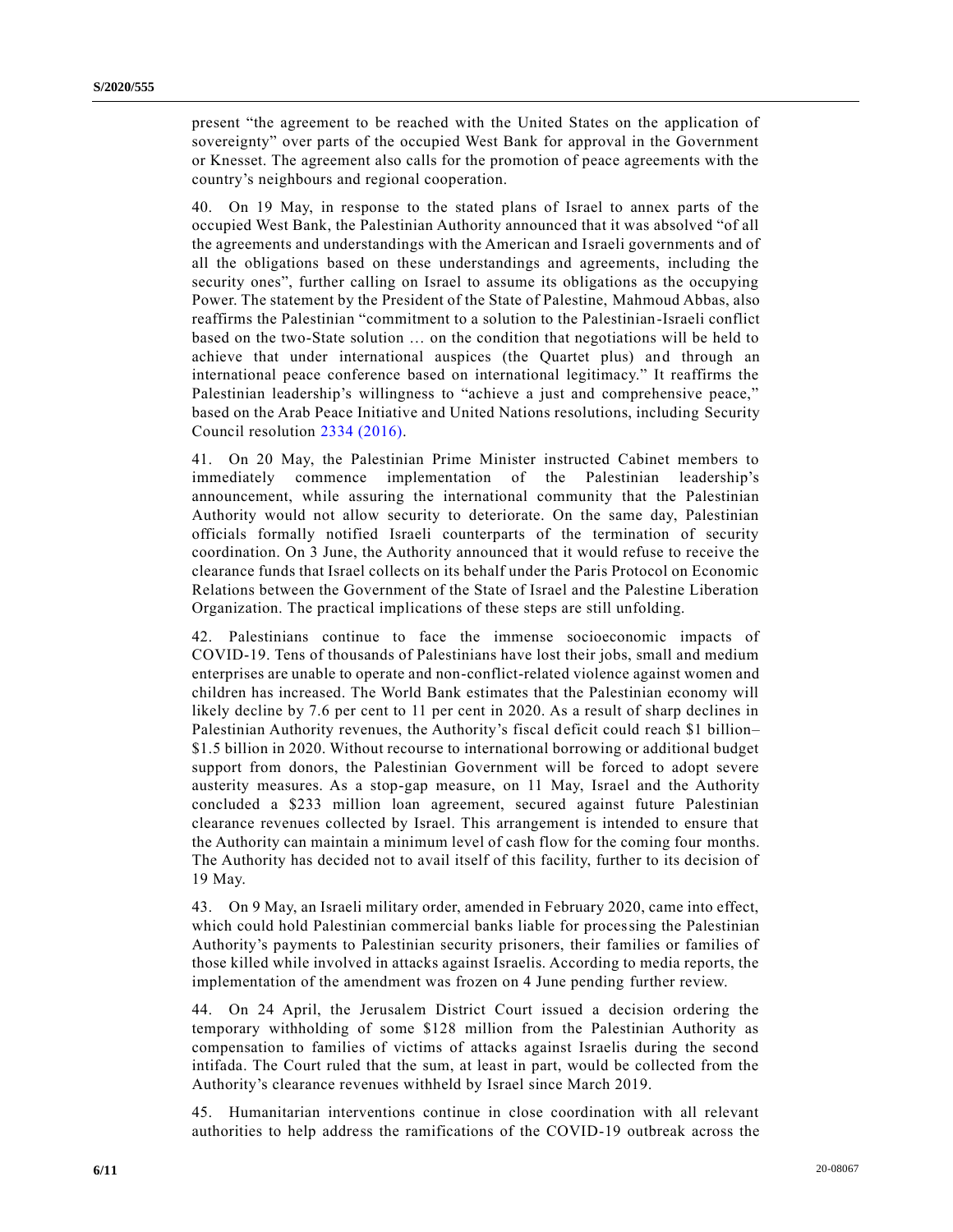present "the agreement to be reached with the United States on the application of sovereignty" over parts of the occupied West Bank for approval in the Government or Knesset. The agreement also calls for the promotion of peace agreements with the country's neighbours and regional cooperation.

40. On 19 May, in response to the stated plans of Israel to annex parts of the occupied West Bank, the Palestinian Authority announced that it was absolved "of all the agreements and understandings with the American and Israeli governments and of all the obligations based on these understandings and agreements, including the security ones", further calling on Israel to assume its obligations as the occupying Power. The statement by the President of the State of Palestine, Mahmoud Abbas, also reaffirms the Palestinian "commitment to a solution to the Palestinian-Israeli conflict based on the two-State solution … on the condition that negotiations will be held to achieve that under international auspices (the Quartet plus) and through an international peace conference based on international legitimacy." It reaffirms the Palestinian leadership's willingness to "achieve a just and comprehensive peace," based on the Arab Peace Initiative and United Nations resolutions, including Security Council resolution [2334 \(2016\).](https://undocs.org/en/S/RES/2334(2016))

41. On 20 May, the Palestinian Prime Minister instructed Cabinet members to immediately commence implementation of the Palestinian leadership's announcement, while assuring the international community that the Palestinian Authority would not allow security to deteriorate. On the same day, Palestinian officials formally notified Israeli counterparts of the termination of security coordination. On 3 June, the Authority announced that it would refuse to receive the clearance funds that Israel collects on its behalf under the Paris Protocol on Economic Relations between the Government of the State of Israel and the Palestine Liberation Organization. The practical implications of these steps are still unfolding.

42. Palestinians continue to face the immense socioeconomic impacts of COVID-19. Tens of thousands of Palestinians have lost their jobs, small and medium enterprises are unable to operate and non-conflict-related violence against women and children has increased. The World Bank estimates that the Palestinian economy will likely decline by 7.6 per cent to 11 per cent in 2020. As a result of sharp declines in Palestinian Authority revenues, the Authority's fiscal deficit could reach \$1 billion– \$1.5 billion in 2020. Without recourse to international borrowing or additional budget support from donors, the Palestinian Government will be forced to adopt severe austerity measures. As a stop-gap measure, on 11 May, Israel and the Authority concluded a \$233 million loan agreement, secured against future Palestinian clearance revenues collected by Israel. This arrangement is intended to ensure that the Authority can maintain a minimum level of cash flow for the coming four months. The Authority has decided not to avail itself of this facility, further to its decision of 19 May.

43. On 9 May, an Israeli military order, amended in February 2020, came into effect, which could hold Palestinian commercial banks liable for processing the Palestinian Authority's payments to Palestinian security prisoners, their families or families of those killed while involved in attacks against Israelis. According to media reports, the implementation of the amendment was frozen on 4 June pending further review.

44. On 24 April, the Jerusalem District Court issued a decision ordering the temporary withholding of some \$128 million from the Palestinian Authority as compensation to families of victims of attacks against Israelis during the second intifada. The Court ruled that the sum, at least in part, would be collected from the Authority's clearance revenues withheld by Israel since March 2019.

45. Humanitarian interventions continue in close coordination with all relevant authorities to help address the ramifications of the COVID-19 outbreak across the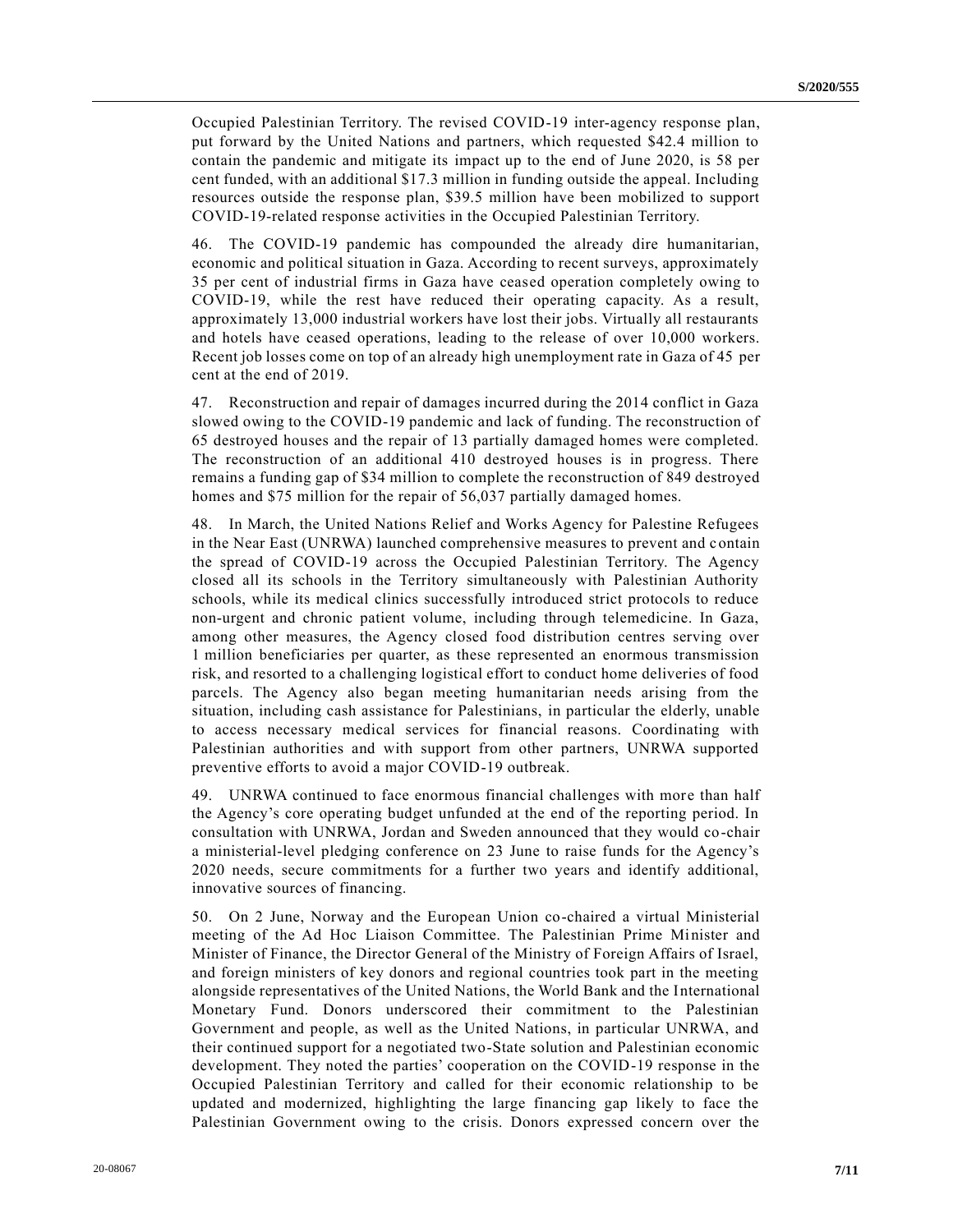Occupied Palestinian Territory. The revised COVID-19 inter-agency response plan, put forward by the United Nations and partners, which requested \$42.4 million to contain the pandemic and mitigate its impact up to the end of June 2020, is 58 per cent funded, with an additional \$17.3 million in funding outside the appeal. Including resources outside the response plan, \$39.5 million have been mobilized to support COVID-19-related response activities in the Occupied Palestinian Territory.

46. The COVID-19 pandemic has compounded the already dire humanitarian, economic and political situation in Gaza. According to recent surveys, approximately 35 per cent of industrial firms in Gaza have ceased operation completely owing to COVID-19, while the rest have reduced their operating capacity. As a result, approximately 13,000 industrial workers have lost their jobs. Virtually all restaurants and hotels have ceased operations, leading to the release of over 10,000 workers. Recent job losses come on top of an already high unemployment rate in Gaza of 45 per cent at the end of 2019.

47. Reconstruction and repair of damages incurred during the 2014 conflict in Gaza slowed owing to the COVID-19 pandemic and lack of funding. The reconstruction of 65 destroyed houses and the repair of 13 partially damaged homes were completed. The reconstruction of an additional 410 destroyed houses is in progress. There remains a funding gap of \$34 million to complete the reconstruction of 849 destroyed homes and \$75 million for the repair of 56,037 partially damaged homes.

48. In March, the United Nations Relief and Works Agency for Palestine Refugees in the Near East (UNRWA) launched comprehensive measures to prevent and contain the spread of COVID-19 across the Occupied Palestinian Territory. The Agency closed all its schools in the Territory simultaneously with Palestinian Authority schools, while its medical clinics successfully introduced strict protocols to reduce non-urgent and chronic patient volume, including through telemedicine. In Gaza, among other measures, the Agency closed food distribution centres serving over 1 million beneficiaries per quarter, as these represented an enormous transmission risk, and resorted to a challenging logistical effort to conduct home deliveries of food parcels. The Agency also began meeting humanitarian needs arising from the situation, including cash assistance for Palestinians, in particular the elderly, unable to access necessary medical services for financial reasons. Coordinating with Palestinian authorities and with support from other partners, UNRWA supported preventive efforts to avoid a major COVID-19 outbreak.

49. UNRWA continued to face enormous financial challenges with more than half the Agency's core operating budget unfunded at the end of the reporting period. In consultation with UNRWA, Jordan and Sweden announced that they would co-chair a ministerial-level pledging conference on 23 June to raise funds for the Agency's 2020 needs, secure commitments for a further two years and identify additional, innovative sources of financing.

50. On 2 June, Norway and the European Union co-chaired a virtual Ministerial meeting of the Ad Hoc Liaison Committee. The Palestinian Prime Minister and Minister of Finance, the Director General of the Ministry of Foreign Affairs of Israel, and foreign ministers of key donors and regional countries took part in the meeting alongside representatives of the United Nations, the World Bank and the International Monetary Fund. Donors underscored their commitment to the Palestinian Government and people, as well as the United Nations, in particular UNRWA, and their continued support for a negotiated two-State solution and Palestinian economic development. They noted the parties' cooperation on the COVID-19 response in the Occupied Palestinian Territory and called for their economic relationship to be updated and modernized, highlighting the large financing gap likely to face the Palestinian Government owing to the crisis. Donors expressed concern over the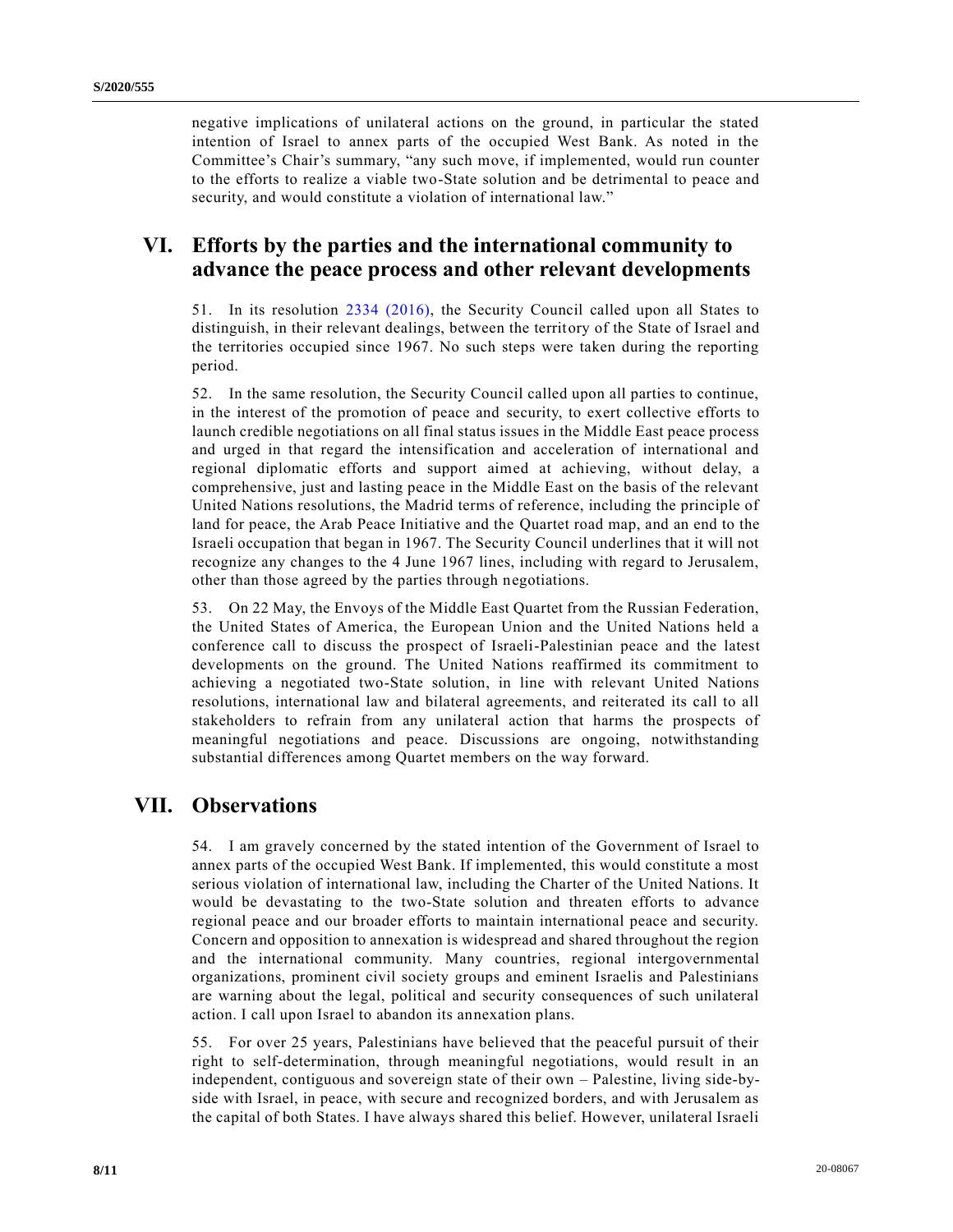negative implications of unilateral actions on the ground, in particular the stated intention of Israel to annex parts of the occupied West Bank. As noted in the Committee's Chair's summary, "any such move, if implemented, would run counter to the efforts to realize a viable two-State solution and be detrimental to peace and security, and would constitute a violation of international law."

## **VI. Efforts by the parties and the international community to advance the peace process and other relevant developments**

51. In its resolution [2334 \(2016\),](https://undocs.org/en/S/RES/2334(2016)) the Security Council called upon all States to distinguish, in their relevant dealings, between the territory of the State of Israel and the territories occupied since 1967. No such steps were taken during the reporting period.

52. In the same resolution, the Security Council called upon all parties to continue, in the interest of the promotion of peace and security, to exert collective efforts to launch credible negotiations on all final status issues in the Middle East peace process and urged in that regard the intensification and acceleration of international and regional diplomatic efforts and support aimed at achieving, without delay, a comprehensive, just and lasting peace in the Middle East on the basis of the relevant United Nations resolutions, the Madrid terms of reference, including the principle of land for peace, the Arab Peace Initiative and the Quartet road map, and an end to the Israeli occupation that began in 1967. The Security Council underlines that it will not recognize any changes to the 4 June 1967 lines, including with regard to Jerusalem, other than those agreed by the parties through negotiations.

53. On 22 May, the Envoys of the Middle East Quartet from the Russian Federation, the United States of America, the European Union and the United Nations held a conference call to discuss the prospect of Israeli-Palestinian peace and the latest developments on the ground. The United Nations reaffirmed its commitment to achieving a negotiated two-State solution, in line with relevant United Nations resolutions, international law and bilateral agreements, and reiterated its call to all stakeholders to refrain from any unilateral action that harms the prospects of meaningful negotiations and peace. Discussions are ongoing, notwithstanding substantial differences among Quartet members on the way forward.

## **VII. Observations**

54. I am gravely concerned by the stated intention of the Government of Israel to annex parts of the occupied West Bank. If implemented, this would constitute a most serious violation of international law, including the Charter of the United Nations. It would be devastating to the two-State solution and threaten efforts to advance regional peace and our broader efforts to maintain international peace and security. Concern and opposition to annexation is widespread and shared throughout the region and the international community. Many countries, regional intergovernmental organizations, prominent civil society groups and eminent Israelis and Palestinians are warning about the legal, political and security consequences of such unilateral action. I call upon Israel to abandon its annexation plans.

55. For over 25 years, Palestinians have believed that the peaceful pursuit of their right to self-determination, through meaningful negotiations, would result in an independent, contiguous and sovereign state of their own – Palestine, living side-byside with Israel, in peace, with secure and recognized borders, and with Jerusalem as the capital of both States. I have always shared this belief. However, unilateral Israeli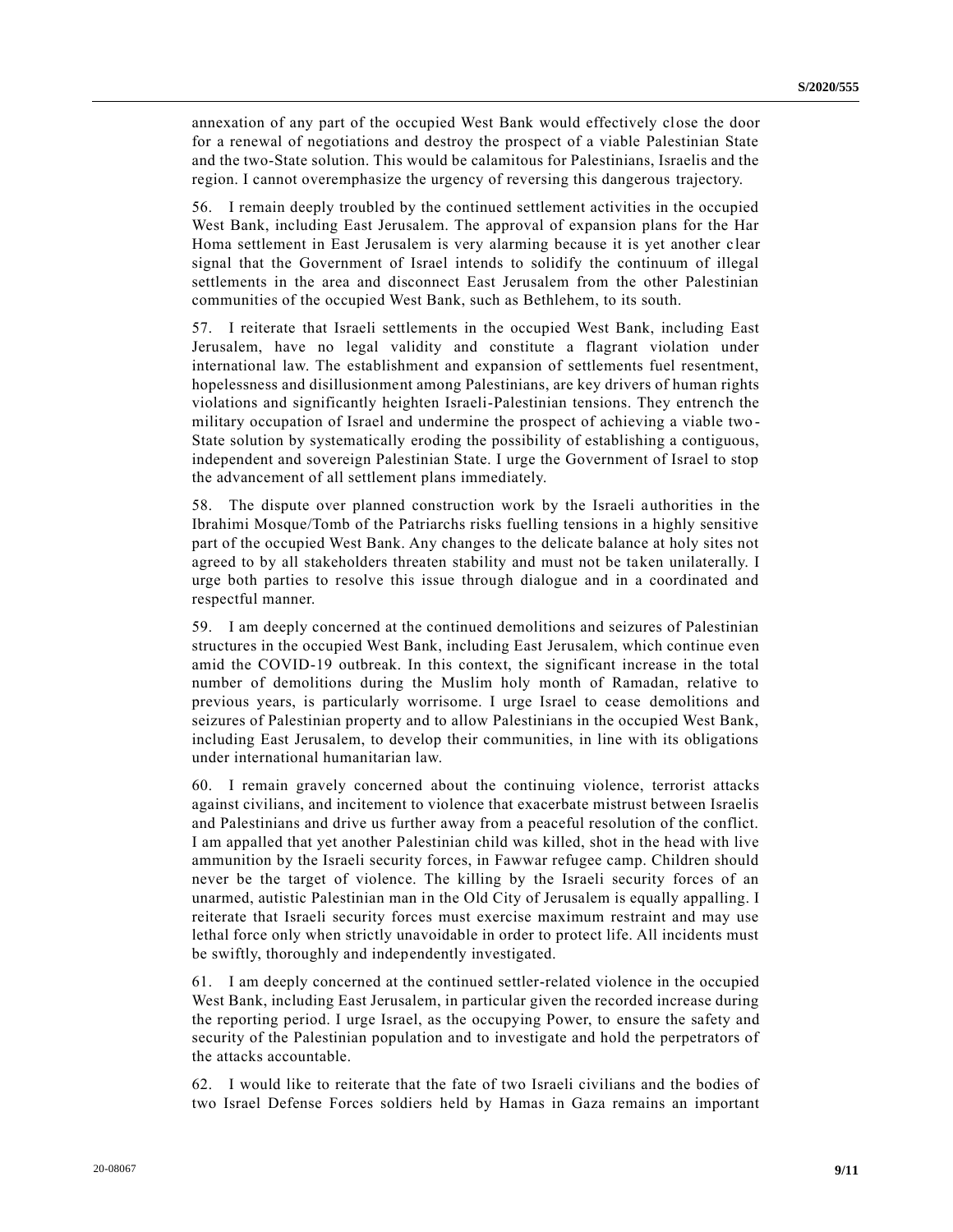annexation of any part of the occupied West Bank would effectively close the door for a renewal of negotiations and destroy the prospect of a viable Palestinian State and the two-State solution. This would be calamitous for Palestinians, Israelis and the region. I cannot overemphasize the urgency of reversing this dangerous trajectory.

56. I remain deeply troubled by the continued settlement activities in the occupied West Bank, including East Jerusalem. The approval of expansion plans for the Har Homa settlement in East Jerusalem is very alarming because it is yet another c lear signal that the Government of Israel intends to solidify the continuum of illegal settlements in the area and disconnect East Jerusalem from the other Palestinian communities of the occupied West Bank, such as Bethlehem, to its south.

57. I reiterate that Israeli settlements in the occupied West Bank, including East Jerusalem, have no legal validity and constitute a flagrant violation under international law. The establishment and expansion of settlements fuel resentment, hopelessness and disillusionment among Palestinians, are key drivers of human rights violations and significantly heighten Israeli-Palestinian tensions. They entrench the military occupation of Israel and undermine the prospect of achieving a viable two - State solution by systematically eroding the possibility of establishing a contiguous, independent and sovereign Palestinian State. I urge the Government of Israel to stop the advancement of all settlement plans immediately.

58. The dispute over planned construction work by the Israeli authorities in the Ibrahimi Mosque/Tomb of the Patriarchs risks fuelling tensions in a highly sensitive part of the occupied West Bank. Any changes to the delicate balance at holy sites not agreed to by all stakeholders threaten stability and must not be taken unilaterally. I urge both parties to resolve this issue through dialogue and in a coordinated and respectful manner.

59. I am deeply concerned at the continued demolitions and seizures of Palestinian structures in the occupied West Bank, including East Jerusalem, which continue even amid the COVID-19 outbreak. In this context, the significant increase in the total number of demolitions during the Muslim holy month of Ramadan, relative to previous years, is particularly worrisome. I urge Israel to cease demolitions and seizures of Palestinian property and to allow Palestinians in the occupied West Bank, including East Jerusalem, to develop their communities, in line with its obligations under international humanitarian law.

60. I remain gravely concerned about the continuing violence, terrorist attacks against civilians, and incitement to violence that exacerbate mistrust between Israelis and Palestinians and drive us further away from a peaceful resolution of the conflict. I am appalled that yet another Palestinian child was killed, shot in the head with live ammunition by the Israeli security forces, in Fawwar refugee camp. Children should never be the target of violence. The killing by the Israeli security forces of an unarmed, autistic Palestinian man in the Old City of Jerusalem is equally appalling. I reiterate that Israeli security forces must exercise maximum restraint and may use lethal force only when strictly unavoidable in order to protect life. All incidents must be swiftly, thoroughly and independently investigated.

61. I am deeply concerned at the continued settler-related violence in the occupied West Bank, including East Jerusalem, in particular given the recorded increase during the reporting period. I urge Israel, as the occupying Power, to ensure the safety and security of the Palestinian population and to investigate and hold the perpetrators of the attacks accountable.

62. I would like to reiterate that the fate of two Israeli civilians and the bodies of two Israel Defense Forces soldiers held by Hamas in Gaza remains an important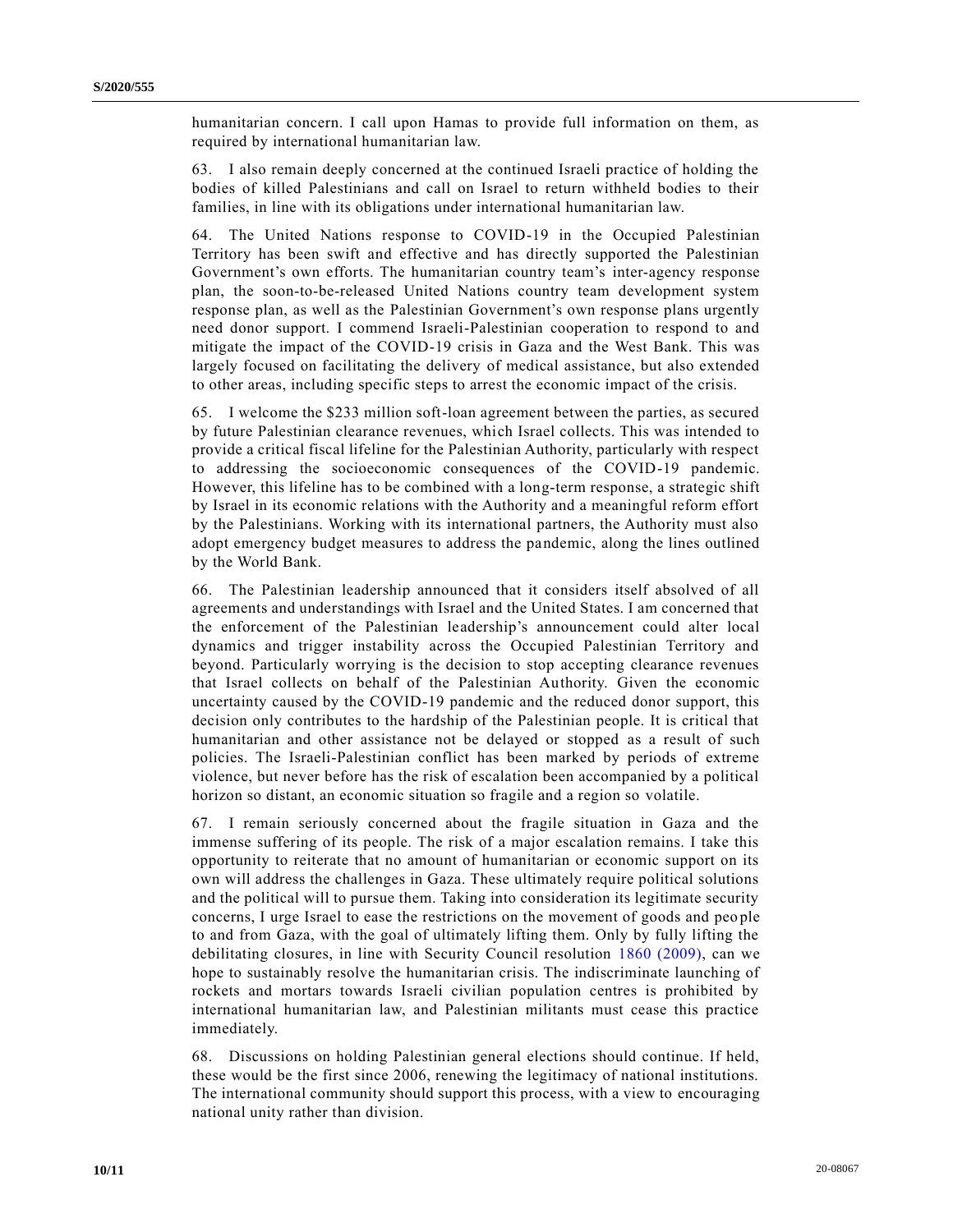humanitarian concern. I call upon Hamas to provide full information on them, as required by international humanitarian law.

63. I also remain deeply concerned at the continued Israeli practice of holding the bodies of killed Palestinians and call on Israel to return withheld bodies to their families, in line with its obligations under international humanitarian law.

64. The United Nations response to COVID-19 in the Occupied Palestinian Territory has been swift and effective and has directly supported the Palestinian Government's own efforts. The humanitarian country team's inter-agency response plan, the soon-to-be-released United Nations country team development system response plan, as well as the Palestinian Government's own response plans urgently need donor support. I commend Israeli-Palestinian cooperation to respond to and mitigate the impact of the COVID-19 crisis in Gaza and the West Bank. This was largely focused on facilitating the delivery of medical assistance, but also extended to other areas, including specific steps to arrest the economic impact of the crisis.

65. I welcome the \$233 million soft-loan agreement between the parties, as secured by future Palestinian clearance revenues, which Israel collects. This was intended to provide a critical fiscal lifeline for the Palestinian Authority, particularly with respect to addressing the socioeconomic consequences of the COVID-19 pandemic. However, this lifeline has to be combined with a long-term response, a strategic shift by Israel in its economic relations with the Authority and a meaningful reform effort by the Palestinians. Working with its international partners, the Authority must also adopt emergency budget measures to address the pandemic, along the lines outlined by the World Bank.

66. The Palestinian leadership announced that it considers itself absolved of all agreements and understandings with Israel and the United States. I am concerned that the enforcement of the Palestinian leadership's announcement could alter local dynamics and trigger instability across the Occupied Palestinian Territory and beyond. Particularly worrying is the decision to stop accepting clearance revenues that Israel collects on behalf of the Palestinian Authority. Given the economic uncertainty caused by the COVID-19 pandemic and the reduced donor support, this decision only contributes to the hardship of the Palestinian people. It is critical that humanitarian and other assistance not be delayed or stopped as a result of such policies. The Israeli-Palestinian conflict has been marked by periods of extreme violence, but never before has the risk of escalation been accompanied by a political horizon so distant, an economic situation so fragile and a region so volatile.

67. I remain seriously concerned about the fragile situation in Gaza and the immense suffering of its people. The risk of a major escalation remains. I take this opportunity to reiterate that no amount of humanitarian or economic support on its own will address the challenges in Gaza. These ultimately require political solutions and the political will to pursue them. Taking into consideration its legitimate security concerns, I urge Israel to ease the restrictions on the movement of goods and peo ple to and from Gaza, with the goal of ultimately lifting them. Only by fully lifting the debilitating closures, in line with Security Council resolution [1860 \(2009\),](https://undocs.org/en/S/RES/1860(2009)) can we hope to sustainably resolve the humanitarian crisis. The indiscriminate launching of rockets and mortars towards Israeli civilian population centres is prohibited by international humanitarian law, and Palestinian militants must cease this practice immediately.

68. Discussions on holding Palestinian general elections should continue. If held, these would be the first since 2006, renewing the legitimacy of national institutions. The international community should support this process, with a view to encouraging national unity rather than division.